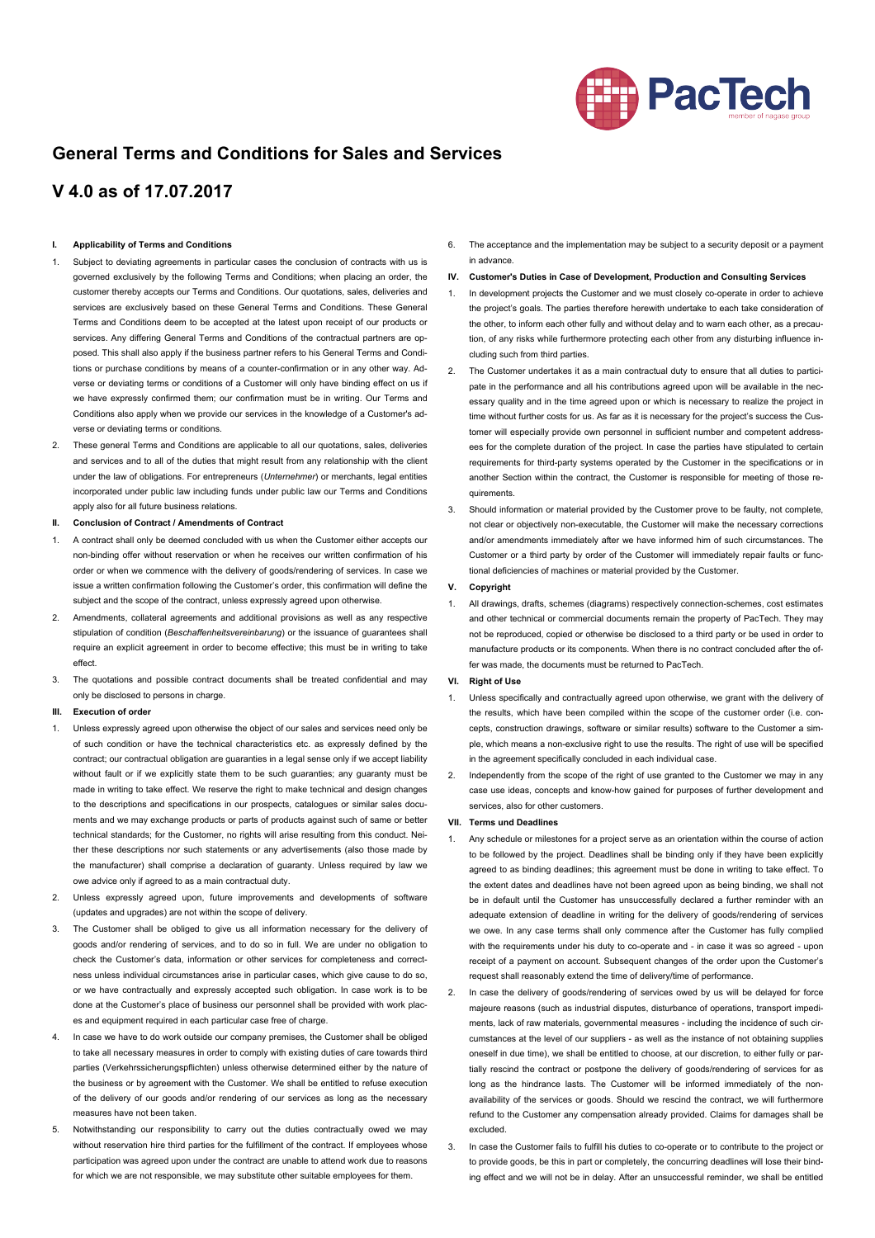

# **General Terms and Conditions for Sales and Services**

# **V 4.0 as of 17.07.2017**

### **I. Applicability of Terms and Conditions**

- 1. Subject to deviating agreements in particular cases the conclusion of contracts with us is governed exclusively by the following Terms and Conditions; when placing an order, the customer thereby accepts our Terms and Conditions. Our quotations, sales, deliveries and services are exclusively based on these General Terms and Conditions. These General Terms and Conditions deem to be accepted at the latest upon receipt of our products or services. Any differing General Terms and Conditions of the contractual partners are opposed. This shall also apply if the business partner refers to his General Terms and Conditions or purchase conditions by means of a counter-confirmation or in any other way. Adverse or deviating terms or conditions of a Customer will only have binding effect on us if we have expressly confirmed them; our confirmation must be in writing. Our Terms and Conditions also apply when we provide our services in the knowledge of a Customer's adverse or deviating terms or conditions.
- 2. These general Terms and Conditions are applicable to all our quotations, sales, deliveries and services and to all of the duties that might result from any relationship with the client under the law of obligations. For entrepreneurs (*Unternehmer*) or merchants, legal entities incorporated under public law including funds under public law our Terms and Conditions apply also for all future business relations.
- **II. Conclusion of Contract / Amendments of Contract**
- 1. A contract shall only be deemed concluded with us when the Customer either accepts our non-binding offer without reservation or when he receives our written confirmation of his order or when we commence with the delivery of goods/rendering of services. In case we issue a written confirmation following the Customer's order, this confirmation will define the subject and the scope of the contract, unless expressly agreed upon otherwise.
- 2. Amendments, collateral agreements and additional provisions as well as any respective stipulation of condition (*Beschaffenheitsvereinbarung*) or the issuance of guarantees shall require an explicit agreement in order to become effective; this must be in writing to take effect.
- 3. The quotations and possible contract documents shall be treated confidential and may only be disclosed to persons in charge.

# **III. Execution of order**

- 1. Unless expressly agreed upon otherwise the object of our sales and services need only be of such condition or have the technical characteristics etc. as expressly defined by the contract; our contractual obligation are guaranties in a legal sense only if we accept liability without fault or if we explicitly state them to be such guaranties; any guaranty must be made in writing to take effect. We reserve the right to make technical and design changes to the descriptions and specifications in our prospects, catalogues or similar sales documents and we may exchange products or parts of products against such of same or better technical standards; for the Customer, no rights will arise resulting from this conduct. Neither these descriptions nor such statements or any advertisements (also those made by the manufacturer) shall comprise a declaration of guaranty. Unless required by law we owe advice only if agreed to as a main contractual duty.
- 2. Unless expressly agreed upon, future improvements and developments of software (updates and upgrades) are not within the scope of delivery.
- 3. The Customer shall be obliged to give us all information necessary for the delivery of goods and/or rendering of services, and to do so in full. We are under no obligation to check the Customer's data, information or other services for completeness and correctness unless individual circumstances arise in particular cases, which give cause to do so, or we have contractually and expressly accepted such obligation. In case work is to be done at the Customer's place of business our personnel shall be provided with work places and equipment required in each particular case free of charge.
- 4. In case we have to do work outside our company premises, the Customer shall be obliged to take all necessary measures in order to comply with existing duties of care towards third parties (Verkehrssicherungspflichten) unless otherwise determined either by the nature of the business or by agreement with the Customer. We shall be entitled to refuse execution of the delivery of our goods and/or rendering of our services as long as the necessary measures have not been taken.
- 5. Notwithstanding our responsibility to carry out the duties contractually owed we may without reservation hire third parties for the fulfillment of the contract. If employees whose participation was agreed upon under the contract are unable to attend work due to reasons for which we are not responsible, we may substitute other suitable employees for them.

6. The acceptance and the implementation may be subject to a security deposit or a payment in advance.

# **IV. Customer's Duties in Case of Development, Production and Consulting Services**

- 1. In development projects the Customer and we must closely co-operate in order to achieve the project's goals. The parties therefore herewith undertake to each take consideration of the other, to inform each other fully and without delay and to warn each other, as a precaution, of any risks while furthermore protecting each other from any disturbing influence including such from third parties.
- 2. The Customer undertakes it as a main contractual duty to ensure that all duties to participate in the performance and all his contributions agreed upon will be available in the necessary quality and in the time agreed upon or which is necessary to realize the project in time without further costs for us. As far as it is necessary for the project's success the Customer will especially provide own personnel in sufficient number and competent addressees for the complete duration of the project. In case the parties have stipulated to certain requirements for third-party systems operated by the Customer in the specifications or in another Section within the contract, the Customer is responsible for meeting of those requirements.
- 3. Should information or material provided by the Customer prove to be faulty, not complete, not clear or objectively non-executable, the Customer will make the necessary corrections and/or amendments immediately after we have informed him of such circumstances. The Customer or a third party by order of the Customer will immediately repair faults or functional deficiencies of machines or material provided by the Customer.

#### **V. Copyright**

1. All drawings, drafts, schemes (diagrams) respectively connection-schemes, cost estimates and other technical or commercial documents remain the property of PacTech. They may not be reproduced, copied or otherwise be disclosed to a third party or be used in order to manufacture products or its components. When there is no contract concluded after the offer was made, the documents must be returned to PacTech.

# **VI. Right of Use**

- 1. Unless specifically and contractually agreed upon otherwise, we grant with the delivery of the results, which have been compiled within the scope of the customer order (i.e. concepts, construction drawings, software or similar results) software to the Customer a simple, which means a non-exclusive right to use the results. The right of use will be specified in the agreement specifically concluded in each individual case
- 2. Independently from the scope of the right of use granted to the Customer we may in any case use ideas, concepts and know-how gained for purposes of further development and services, also for other customers.

#### **VII. Terms und Deadlines**

- 1. Any schedule or milestones for a project serve as an orientation within the course of action to be followed by the project. Deadlines shall be binding only if they have been explicitly agreed to as binding deadlines; this agreement must be done in writing to take effect. To the extent dates and deadlines have not been agreed upon as being binding, we shall not be in default until the Customer has unsuccessfully declared a further reminder with an adequate extension of deadline in writing for the delivery of goods/rendering of services we owe. In any case terms shall only commence after the Customer has fully complied with the requirements under his duty to co-operate and - in case it was so agreed - upon receipt of a payment on account. Subsequent changes of the order upon the Customer's request shall reasonably extend the time of delivery/time of performance.
- 2. In case the delivery of goods/rendering of services owed by us will be delayed for force majeure reasons (such as industrial disputes, disturbance of operations, transport impediments, lack of raw materials, governmental measures - including the incidence of such circumstances at the level of our suppliers - as well as the instance of not obtaining supplies oneself in due time), we shall be entitled to choose, at our discretion, to either fully or partially rescind the contract or postpone the delivery of goods/rendering of services for as long as the hindrance lasts. The Customer will be informed immediately of the nonavailability of the services or goods. Should we rescind the contract, we will furthermore refund to the Customer any compensation already provided. Claims for damages shall be excluded.
- 3. In case the Customer fails to fulfill his duties to co-operate or to contribute to the project or to provide goods, be this in part or completely, the concurring deadlines will lose their binding effect and we will not be in delay. After an unsuccessful reminder, we shall be entitled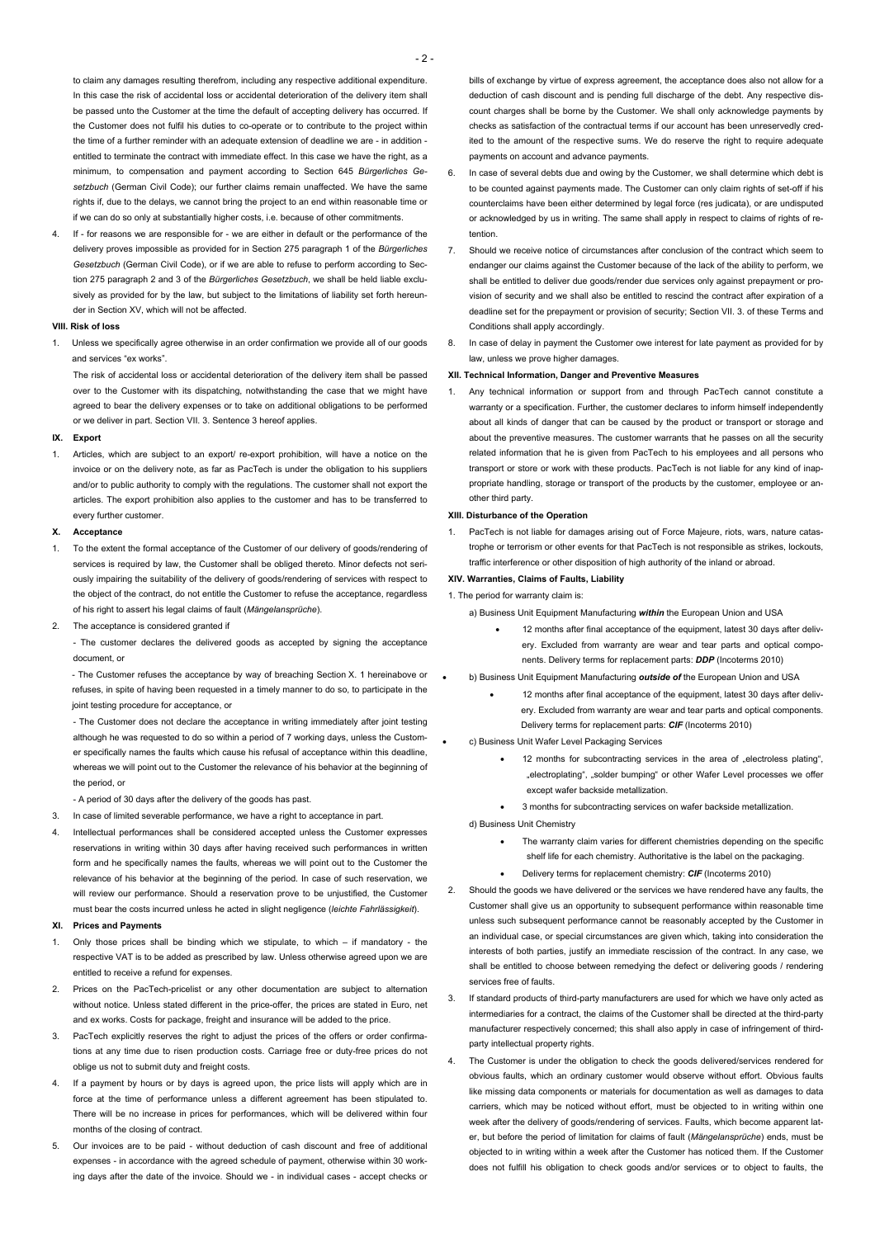to claim any damages resulting therefrom, including any respective additional expenditure. In this case the risk of accidental loss or accidental deterioration of the delivery item shall be passed unto the Customer at the time the default of accepting delivery has occurred. If the Customer does not fulfil his duties to co-operate or to contribute to the project within the time of a further reminder with an adequate extension of deadline we are - in addition entitled to terminate the contract with immediate effect. In this case we have the right, as a minimum, to compensation and payment according to Section 645 *Bürgerliches Gesetzbuch* (German Civil Code); our further claims remain unaffected. We have the same rights if, due to the delays, we cannot bring the project to an end within reasonable time or if we can do so only at substantially higher costs, i.e. because of other commitments.

4. If - for reasons we are responsible for - we are either in default or the performance of the delivery proves impossible as provided for in Section 275 paragraph 1 of the *Bürgerliches Gesetzbuch* (German Civil Code), or if we are able to refuse to perform according to Section 275 paragraph 2 and 3 of the *Bürgerliches Gesetzbuch*, we shall be held liable exclusively as provided for by the law, but subject to the limitations of liability set forth hereunder in Section XV, which will not be affected.

# **VIII. Risk of loss**

1. Unless we specifically agree otherwise in an order confirmation we provide all of our goods and services "ex works".

The risk of accidental loss or accidental deterioration of the delivery item shall be passed over to the Customer with its dispatching, notwithstanding the case that we might have agreed to bear the delivery expenses or to take on additional obligations to be performed or we deliver in part. Section VII. 3. Sentence 3 hereof applies.

#### **IX. Export**

1. Articles, which are subject to an export/ re-export prohibition, will have a notice on the invoice or on the delivery note, as far as PacTech is under the obligation to his suppliers and/or to public authority to comply with the regulations. The customer shall not export the articles. The export prohibition also applies to the customer and has to be transferred to every further customer.

#### **X. Acceptance**

- 1. To the extent the formal acceptance of the Customer of our delivery of goods/rendering of services is required by law, the Customer shall be obliged thereto. Minor defects not seriously impairing the suitability of the delivery of goods/rendering of services with respect to the object of the contract, do not entitle the Customer to refuse the acceptance, regardless of his right to assert his legal claims of fault (*Mängelansprüche*).
- 2. The acceptance is considered granted if

- The customer declares the delivered goods as accepted by signing the acceptance document, or

- The Customer refuses the acceptance by way of breaching Section X. 1 hereinabove or refuses, in spite of having been requested in a timely manner to do so, to participate in the joint testing procedure for acceptance, or

- The Customer does not declare the acceptance in writing immediately after joint testing although he was requested to do so within a period of 7 working days, unless the Customer specifically names the faults which cause his refusal of acceptance within this deadline, whereas we will point out to the Customer the relevance of his behavior at the beginning of the period, or

- A period of 30 days after the delivery of the goods has past.

- 3. In case of limited severable performance, we have a right to acceptance in part.
- 4. Intellectual performances shall be considered accepted unless the Customer expresses reservations in writing within 30 days after having received such performances in written form and he specifically names the faults, whereas we will point out to the Customer the relevance of his behavior at the beginning of the period. In case of such reservation, we will review our performance. Should a reservation prove to be unjustified, the Customer must bear the costs incurred unless he acted in slight negligence (*leichte Fahrlässigkeit*).

## **XI. Prices and Payments**

- 1. Only those prices shall be binding which we stipulate, to which if mandatory the respective VAT is to be added as prescribed by law. Unless otherwise agreed upon we are entitled to receive a refund for expenses.
- 2. Prices on the PacTech-pricelist or any other documentation are subject to alternation without notice. Unless stated different in the price-offer, the prices are stated in Euro, net and ex works. Costs for package, freight and insurance will be added to the price.
- 3. PacTech explicitly reserves the right to adjust the prices of the offers or order confirmations at any time due to risen production costs. Carriage free or duty-free prices do not oblige us not to submit duty and freight costs.
- 4. If a payment by hours or by days is agreed upon, the price lists will apply which are in force at the time of performance unless a different agreement has been stipulated to. There will be no increase in prices for performances, which will be delivered within four months of the closing of contract.
- 5. Our invoices are to be paid without deduction of cash discount and free of additional expenses - in accordance with the agreed schedule of payment, otherwise within 30 working days after the date of the invoice. Should we - in individual cases - accept checks or

bills of exchange by virtue of express agreement, the acceptance does also not allow for a deduction of cash discount and is pending full discharge of the debt. Any respective discount charges shall be borne by the Customer. We shall only acknowledge payments by checks as satisfaction of the contractual terms if our account has been unreservedly credited to the amount of the respective sums. We do reserve the right to require adequate payments on account and advance payments.

- 6. In case of several debts due and owing by the Customer, we shall determine which debt is to be counted against payments made. The Customer can only claim rights of set-off if his counterclaims have been either determined by legal force (res judicata), or are undisputed or acknowledged by us in writing. The same shall apply in respect to claims of rights of retention.
- 7. Should we receive notice of circumstances after conclusion of the contract which seem to endanger our claims against the Customer because of the lack of the ability to perform, we shall be entitled to deliver due goods/render due services only against prepayment or provision of security and we shall also be entitled to rescind the contract after expiration of a deadline set for the prepayment or provision of security; Section VII. 3. of these Terms and Conditions shall apply accordingly.
- 8. In case of delay in payment the Customer owe interest for late payment as provided for by law, unless we prove higher damages.

### **XII. Technical Information, Danger and Preventive Measures**

1. Any technical information or support from and through PacTech cannot constitute a warranty or a specification. Further, the customer declares to inform himself independently about all kinds of danger that can be caused by the product or transport or storage and about the preventive measures. The customer warrants that he passes on all the security related information that he is given from PacTech to his employees and all persons who transport or store or work with these products. PacTech is not liable for any kind of inappropriate handling, storage or transport of the products by the customer, employee or another third party.

## **XIII. Disturbance of the Operation**

1. PacTech is not liable for damages arising out of Force Majeure, riots, wars, nature catastrophe or terrorism or other events for that PacTech is not responsible as strikes, lockouts, traffic interference or other disposition of high authority of the inland or abroad.

# **XIV. Warranties, Claims of Faults, Liability**

1. The period for warranty claim is:

- a) Business Unit Equipment Manufacturing *within* the European Union and USA
	- 12 months after final acceptance of the equipment, latest 30 days after delivery. Excluded from warranty are wear and tear parts and optical components. Delivery terms for replacement parts: *DDP* (Incoterms 2010)

# • b) Business Unit Equipment Manufacturing *outside of* the European Union and USA

- 12 months after final acceptance of the equipment, latest 30 days after delivery. Excluded from warranty are wear and tear parts and optical components. Delivery terms for replacement parts: *CIF* (Incoterms 2010)
- c) Business Unit Wafer Level Packaging Services
	- 12 months for subcontracting services in the area of "electroless plating", "electroplating", "solder bumping" or other Wafer Level processes we offer except wafer backside metallization.
	- 3 months for subcontracting services on wafer backside metallization.

d) Business Unit Chemistry

- The warranty claim varies for different chemistries depending on the specific shelf life for each chemistry. Authoritative is the label on the packaging.
- Delivery terms for replacement chemistry: *CIF* (Incoterms 2010)
- 2. Should the goods we have delivered or the services we have rendered have any faults, the Customer shall give us an opportunity to subsequent performance within reasonable time unless such subsequent performance cannot be reasonably accepted by the Customer in
- an individual case, or special circumstances are given which, taking into consideration the interests of both parties, justify an immediate rescission of the contract. In any case, we shall be entitled to choose between remedying the defect or delivering goods / rendering services free of faults.
- 3. If standard products of third-party manufacturers are used for which we have only acted as intermediaries for a contract, the claims of the Customer shall be directed at the third-party manufacturer respectively concerned; this shall also apply in case of infringement of thirdparty intellectual property rights.
- 4. The Customer is under the obligation to check the goods delivered/services rendered for obvious faults, which an ordinary customer would observe without effort. Obvious faults like missing data components or materials for documentation as well as damages to data carriers, which may be noticed without effort, must be objected to in writing within one week after the delivery of goods/rendering of services. Faults, which become apparent later, but before the period of limitation for claims of fault (*Mängelansprüche*) ends, must be objected to in writing within a week after the Customer has noticed them. If the Customer does not fulfill his obligation to check goods and/or services or to object to faults, the